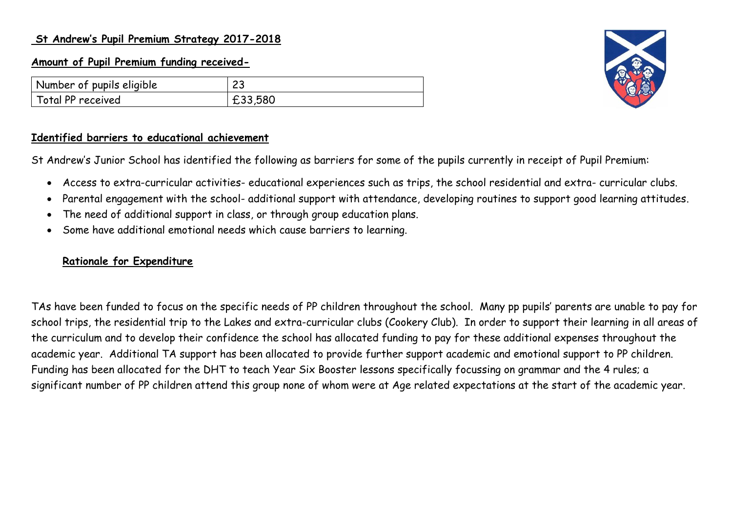### **St Andrew's Pupil Premium Strategy 2017-2018**

### **Amount of Pupil Premium funding received-**

| Number of pupils eligible | ົ<br>ں ے |
|---------------------------|----------|
| Total PP received         | £33,580  |



#### **Identified barriers to educational achievement**

St Andrew's Junior School has identified the following as barriers for some of the pupils currently in receipt of Pupil Premium:

- Access to extra-curricular activities- educational experiences such as trips, the school residential and extra- curricular clubs.
- Parental engagement with the school- additional support with attendance, developing routines to support good learning attitudes.
- The need of additional support in class, or through group education plans.
- Some have additional emotional needs which cause barriers to learning.

### **Rationale for Expenditure**

TAs have been funded to focus on the specific needs of PP children throughout the school. Many pp pupils' parents are unable to pay for school trips, the residential trip to the Lakes and extra-curricular clubs (Cookery Club). In order to support their learning in all areas of the curriculum and to develop their confidence the school has allocated funding to pay for these additional expenses throughout the academic year. Additional TA support has been allocated to provide further support academic and emotional support to PP children. Funding has been allocated for the DHT to teach Year Six Booster lessons specifically focussing on grammar and the 4 rules; a significant number of PP children attend this group none of whom were at Age related expectations at the start of the academic year.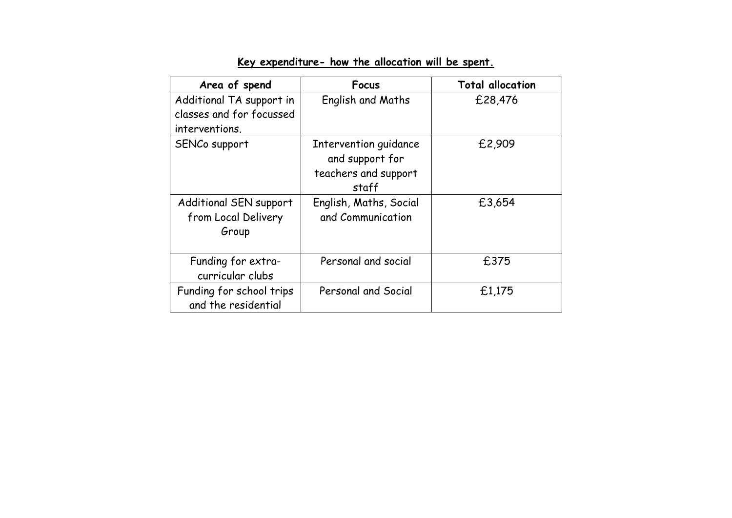| Area of spend                                                          | Focus                                                                     | <b>Total allocation</b> |
|------------------------------------------------------------------------|---------------------------------------------------------------------------|-------------------------|
| Additional TA support in<br>classes and for focussed<br>interventions. | English and Maths                                                         | £28,476                 |
| SENCo support                                                          | Intervention guidance<br>and support for<br>teachers and support<br>staff | £2,909                  |
| Additional SEN support<br>from Local Delivery<br>Group                 | English, Maths, Social<br>and Communication                               | £3,654                  |
| Funding for extra-<br>curricular clubs                                 | Personal and social                                                       | £375                    |
| Funding for school trips<br>and the residential                        | Personal and Social                                                       | £1,175                  |

# **Key expenditure- how the allocation will be spent.**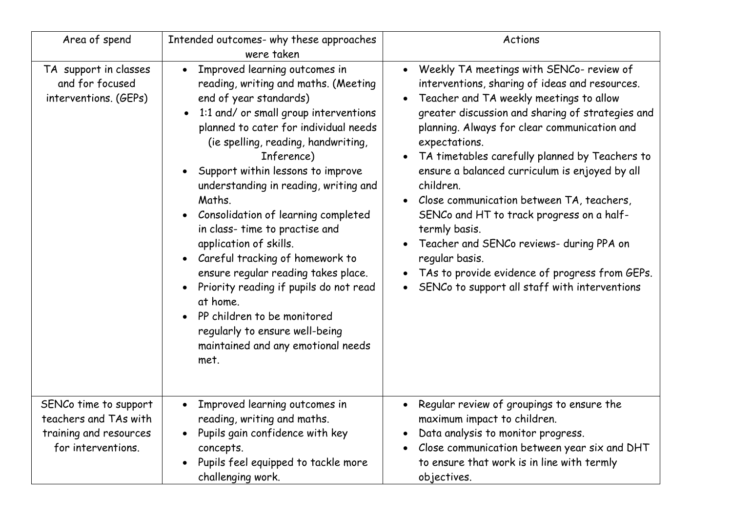| Area of spend                                                                                  | Intended outcomes- why these approaches<br>were taken                                                                                                                                                                                                                                                                                                                                                                                                                                                                                                                                                                                                                                                                   | Actions                                                                                                                                                                                                                                                                                                                                                                                                                                                                                                                                                                                                                                                                           |  |  |
|------------------------------------------------------------------------------------------------|-------------------------------------------------------------------------------------------------------------------------------------------------------------------------------------------------------------------------------------------------------------------------------------------------------------------------------------------------------------------------------------------------------------------------------------------------------------------------------------------------------------------------------------------------------------------------------------------------------------------------------------------------------------------------------------------------------------------------|-----------------------------------------------------------------------------------------------------------------------------------------------------------------------------------------------------------------------------------------------------------------------------------------------------------------------------------------------------------------------------------------------------------------------------------------------------------------------------------------------------------------------------------------------------------------------------------------------------------------------------------------------------------------------------------|--|--|
| TA support in classes<br>and for focused<br>interventions. (GEPs)                              | Improved learning outcomes in<br>$\bullet$<br>reading, writing and maths. (Meeting<br>end of year standards)<br>1:1 and/ or small group interventions<br>$\bullet$<br>planned to cater for individual needs<br>(ie spelling, reading, handwriting,<br>Inference)<br>Support within lessons to improve<br>understanding in reading, writing and<br>Maths.<br>Consolidation of learning completed<br>in class- time to practise and<br>application of skills.<br>Careful tracking of homework to<br>$\bullet$<br>ensure regular reading takes place.<br>Priority reading if pupils do not read<br>at home.<br>PP children to be monitored<br>regularly to ensure well-being<br>maintained and any emotional needs<br>met. | Weekly TA meetings with SENCo- review of<br>$\bullet$<br>interventions, sharing of ideas and resources.<br>Teacher and TA weekly meetings to allow<br>$\bullet$<br>greater discussion and sharing of strategies and<br>planning. Always for clear communication and<br>expectations.<br>TA timetables carefully planned by Teachers to<br>ensure a balanced curriculum is enjoyed by all<br>children.<br>Close communication between TA, teachers,<br>SENCo and HT to track progress on a half-<br>termly basis.<br>Teacher and SENCo reviews- during PPA on<br>regular basis.<br>TAs to provide evidence of progress from GEPs.<br>SENCo to support all staff with interventions |  |  |
| SENCo time to support<br>teachers and TAs with<br>training and resources<br>for interventions. | Improved learning outcomes in<br>$\bullet$<br>reading, writing and maths.<br>Pupils gain confidence with key<br>concepts.<br>Pupils feel equipped to tackle more<br>challenging work.                                                                                                                                                                                                                                                                                                                                                                                                                                                                                                                                   | Regular review of groupings to ensure the<br>maximum impact to children.<br>Data analysis to monitor progress.<br>Close communication between year six and DHT<br>to ensure that work is in line with termly<br>objectives.                                                                                                                                                                                                                                                                                                                                                                                                                                                       |  |  |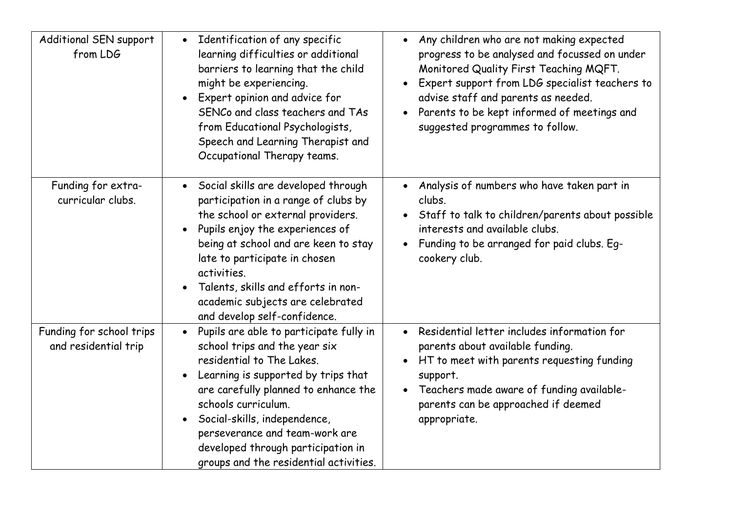| Additional SEN support<br>from LDG               | Identification of any specific<br>$\bullet$<br>learning difficulties or additional<br>barriers to learning that the child<br>might be experiencing.<br>Expert opinion and advice for<br>SENCo and class teachers and TAs<br>from Educational Psychologists,<br>Speech and Learning Therapist and<br>Occupational Therapy teams.                                            | Any children who are not making expected<br>$\bullet$<br>progress to be analysed and focussed on under<br>Monitored Quality First Teaching MQFT.<br>Expert support from LDG specialist teachers to<br>advise staff and parents as needed.<br>Parents to be kept informed of meetings and<br>suggested programmes to follow. |
|--------------------------------------------------|----------------------------------------------------------------------------------------------------------------------------------------------------------------------------------------------------------------------------------------------------------------------------------------------------------------------------------------------------------------------------|-----------------------------------------------------------------------------------------------------------------------------------------------------------------------------------------------------------------------------------------------------------------------------------------------------------------------------|
| Funding for extra-<br>curricular clubs.          | Social skills are developed through<br>participation in a range of clubs by<br>the school or external providers.<br>Pupils enjoy the experiences of<br>being at school and are keen to stay<br>late to participate in chosen<br>activities.<br>Talents, skills and efforts in non-<br>academic subjects are celebrated<br>and develop self-confidence.                     | Analysis of numbers who have taken part in<br>clubs.<br>Staff to talk to children/parents about possible<br>$\bullet$<br>interests and available clubs.<br>Funding to be arranged for paid clubs. Eq-<br>cookery club.                                                                                                      |
| Funding for school trips<br>and residential trip | Pupils are able to participate fully in<br>$\bullet$<br>school trips and the year six<br>residential to The Lakes.<br>Learning is supported by trips that<br>are carefully planned to enhance the<br>schools curriculum.<br>Social-skills, independence,<br>perseverance and team-work are<br>developed through participation in<br>groups and the residential activities. | • Residential letter includes information for<br>parents about available funding.<br>HT to meet with parents requesting funding<br>support.<br>Teachers made aware of funding available-<br>parents can be approached if deemed<br>appropriate.                                                                             |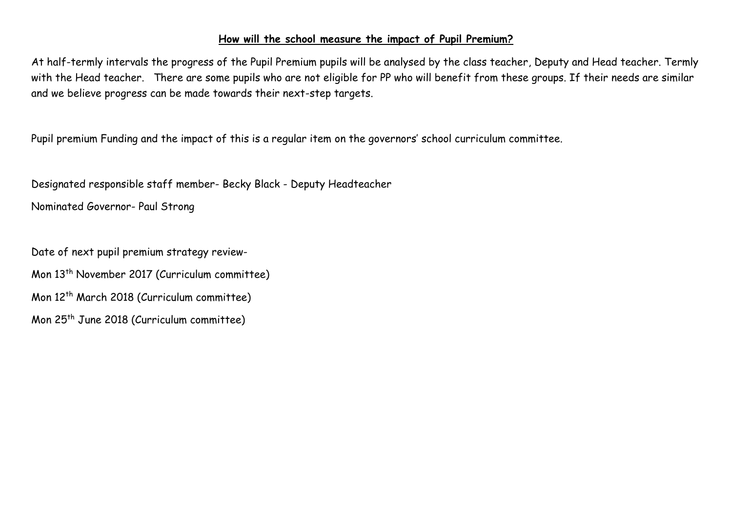#### **How will the school measure the impact of Pupil Premium?**

At half-termly intervals the progress of the Pupil Premium pupils will be analysed by the class teacher, Deputy and Head teacher. Termly with the Head teacher. There are some pupils who are not eligible for PP who will benefit from these groups. If their needs are similar and we believe progress can be made towards their next-step targets.

Pupil premium Funding and the impact of this is a regular item on the governors' school curriculum committee.

Designated responsible staff member- Becky Black - Deputy Headteacher

Nominated Governor- Paul Strong

Date of next pupil premium strategy review-Mon 13 th November 2017 (Curriculum committee) Mon 12th March 2018 (Curriculum committee) Mon 25th June 2018 (Curriculum committee)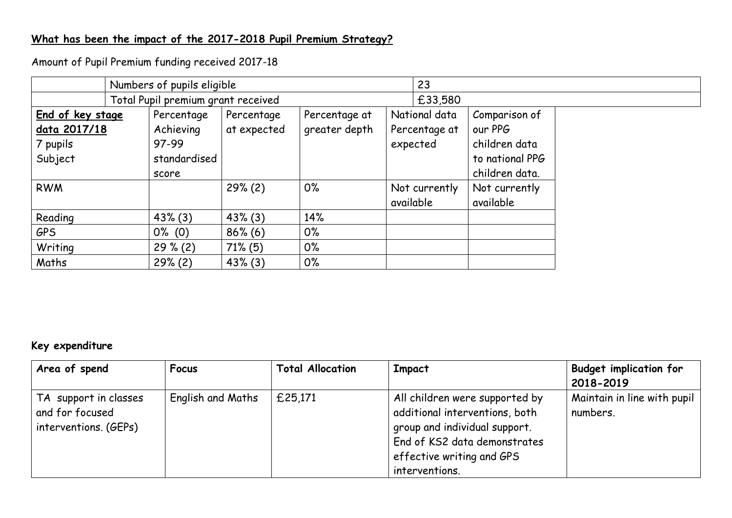### **What has been the impact of the 2017-2018 Pupil Premium Strategy?**

Amount of Pupil Premium funding received 2017-18

| Numbers of pupils eligible                              |                                    |                                                           |                           |                                | 23        |                                            |                                                                                |
|---------------------------------------------------------|------------------------------------|-----------------------------------------------------------|---------------------------|--------------------------------|-----------|--------------------------------------------|--------------------------------------------------------------------------------|
|                                                         | Total Pupil premium grant received |                                                           |                           |                                | £33,580   |                                            |                                                                                |
| End of key stage<br>data 2017/18<br>7 pupils<br>Subject |                                    | Percentage<br>Achieving<br>97-99<br>standardised<br>score | Percentage<br>at expected | Percentage at<br>greater depth |           | National data<br>Percentage at<br>expected | Comparison of<br>our PPG<br>children data<br>to national PPG<br>children data. |
| <b>RWM</b>                                              |                                    |                                                           | 29% (2)                   | $0\%$                          | available | Not currently                              | Not currently<br>available                                                     |
| Reading                                                 |                                    | $43\%$ (3)                                                | $43\%$ (3)                | 14%                            |           |                                            |                                                                                |
| <b>GPS</b>                                              |                                    | $0\%$ (0)                                                 | $86\%$ (6)                | $0\%$                          |           |                                            |                                                                                |
| Writing                                                 |                                    | $29\% (2)$                                                | $71\%$ (5)                | $0\%$                          |           |                                            |                                                                                |
| Maths                                                   |                                    | 29% (2)                                                   | $43\%$ (3)                | $0\%$                          |           |                                            |                                                                                |

# **Key expenditure**

| Area of spend                                                     | Focus                    | <b>Total Allocation</b> | <b>Impact</b>                                                                                                                                                                    | <b>Budget implication for</b><br>2018-2019 |
|-------------------------------------------------------------------|--------------------------|-------------------------|----------------------------------------------------------------------------------------------------------------------------------------------------------------------------------|--------------------------------------------|
| TA support in classes<br>and for focused<br>interventions. (GEPs) | <b>English and Maths</b> | £25,171                 | All children were supported by<br>additional interventions, both<br>group and individual support.<br>End of KS2 data demonstrates<br>effective writing and GPS<br>interventions. | Maintain in line with pupil<br>numbers.    |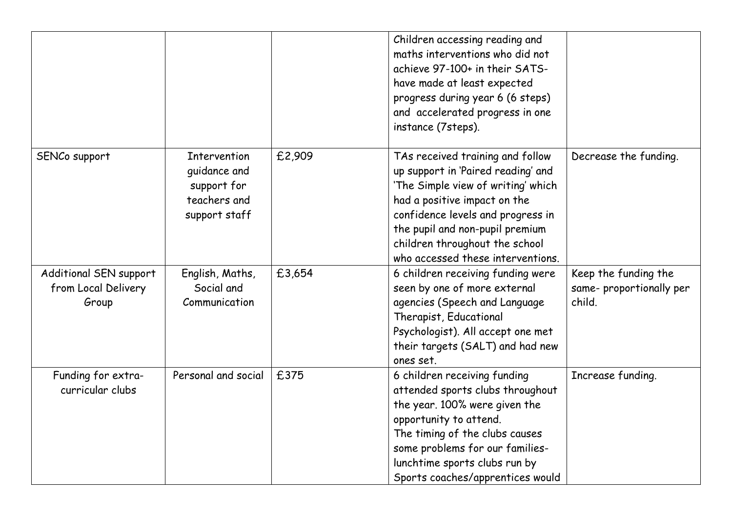|                                                        |                                                                              |        | Children accessing reading and<br>maths interventions who did not<br>achieve 97-100+ in their SATS-<br>have made at least expected<br>progress during year 6 (6 steps)<br>and accelerated progress in one<br>instance (7steps).                                                             |                                                           |
|--------------------------------------------------------|------------------------------------------------------------------------------|--------|---------------------------------------------------------------------------------------------------------------------------------------------------------------------------------------------------------------------------------------------------------------------------------------------|-----------------------------------------------------------|
| SENCo support                                          | Intervention<br>quidance and<br>support for<br>teachers and<br>support staff | £2,909 | TAs received training and follow<br>up support in 'Paired reading' and<br>'The Simple view of writing' which<br>had a positive impact on the<br>confidence levels and progress in<br>the pupil and non-pupil premium<br>children throughout the school<br>who accessed these interventions. | Decrease the funding.                                     |
| Additional SEN support<br>from Local Delivery<br>Group | English, Maths,<br>Social and<br>Communication                               | £3,654 | 6 children receiving funding were<br>seen by one of more external<br>agencies (Speech and Language<br>Therapist, Educational<br>Psychologist). All accept one met<br>their targets (SALT) and had new<br>ones set.                                                                          | Keep the funding the<br>same-proportionally per<br>child. |
| Funding for extra-<br>curricular clubs                 | Personal and social                                                          | £375   | 6 children receiving funding<br>attended sports clubs throughout<br>the year. 100% were given the<br>opportunity to attend.<br>The timing of the clubs causes<br>some problems for our families-<br>lunchtime sports clubs run by<br>Sports coaches/apprentices would                       | Increase funding.                                         |